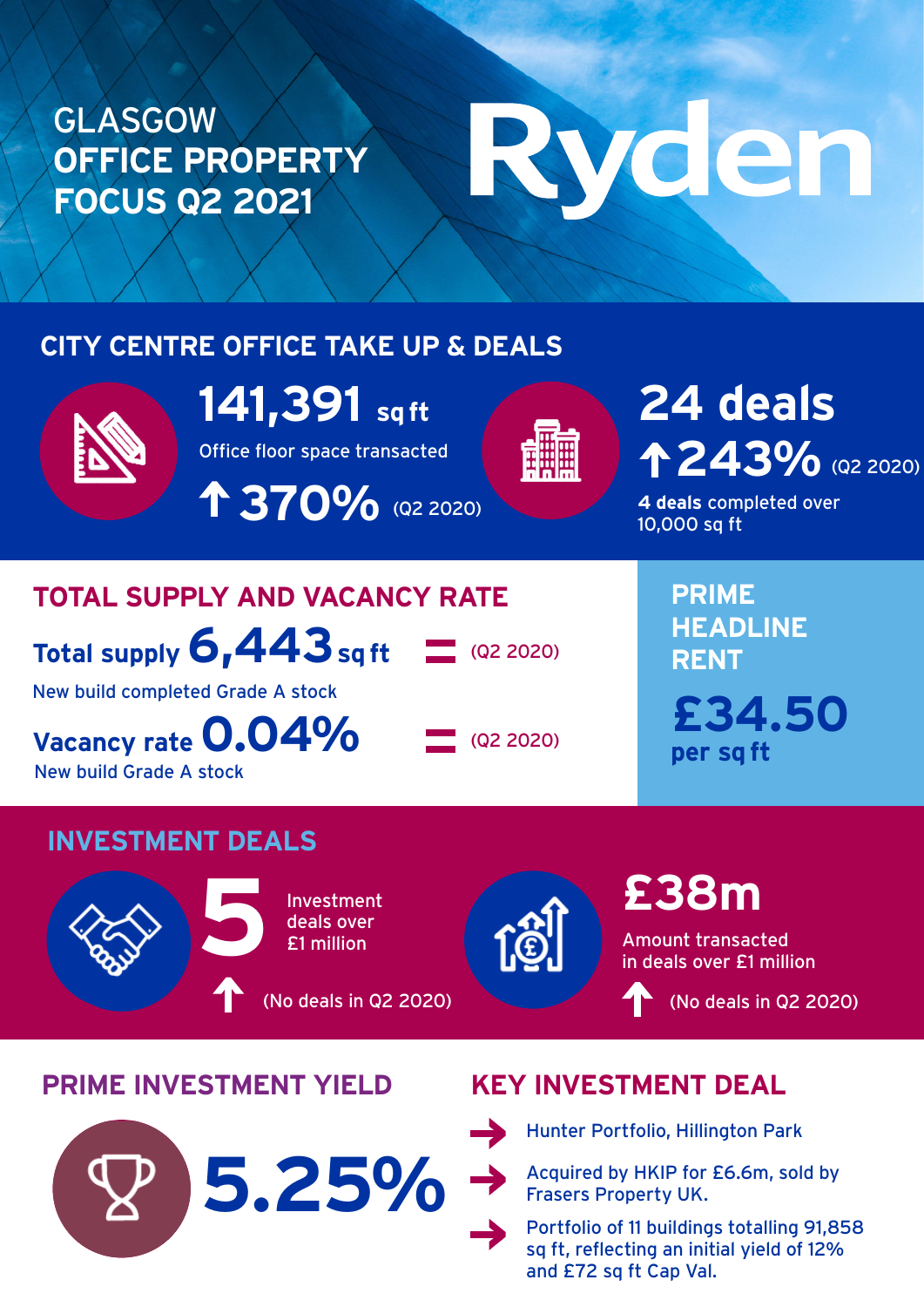### GLASGOW **OFFICE PROPERTY FOCUS Q2 2021**

# Ryden

#### **CITY CENTRE OFFICE TAKE UP & DEALS**



**141,391 sq ft**

Office floor space transacted

 **370%** (Q2 2020)



## 243% (Q2 2020) **24 deals**

**4 deals** completed over 10,000 sq ft

#### **TOTAL SUPPLY AND VACANCY RATE**

**Total supply 6,443 sq ft**

 $(92 2020)$ 

New build completed Grade A stock

**Vacancy rate 0.04%** New build Grade A stock

 $\Box$  (Q2 2020)

**PRIME HEADLINE RENT £34.50**

**per sq ft**

#### **INVESTMENT DEALS**



Investment deals over **5**£1 million

(No deals in Q2 2020)



**£38m** 

Amount transacted in deals over £1 million

(No deals in Q2 2020)

#### **PRIME INVESTMENT YIELD KEY INVESTMENT DEAL**





Hunter Portfolio, Hillington Park

Acquired by HKIP for £6.6m, sold by Frasers Property UK.

Portfolio of 11 buildings totalling 91,858 sq ft, reflecting an initial yield of 12% and £72 sq ft Cap Val.